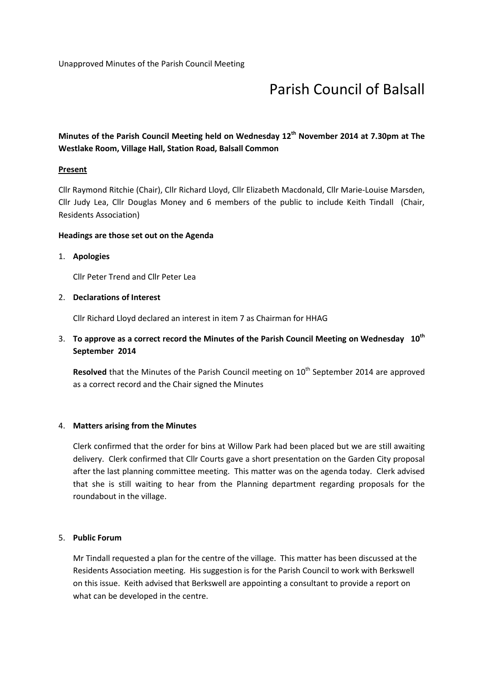# Parish Council of Balsall

# Minutes of the Parish Council Meeting held on Wednesday 12<sup>th</sup> November 2014 at 7.30pm at The Westlake Room, Village Hall, Station Road, Balsall Common

#### **Present**

Cllr Raymond Ritchie (Chair), Cllr Richard Lloyd, Cllr Elizabeth Macdonald, Cllr Marie-Louise Marsden, Cllr Judy Lea, Cllr Douglas Money and 6 members of the public to include Keith Tindall (Chair, Residents Association)

#### Headings are those set out on the Agenda

#### 1. Apologies

Cllr Peter Trend and Cllr Peter Lea

#### 2. Declarations of Interest

Cllr Richard Lloyd declared an interest in item 7 as Chairman for HHAG

# 3. To approve as a correct record the Minutes of the Parish Council Meeting on Wednesday  $10^{th}$ September 2014

Resolved that the Minutes of the Parish Council meeting on 10<sup>th</sup> September 2014 are approved as a correct record and the Chair signed the Minutes

#### 4. Matters arising from the Minutes

Clerk confirmed that the order for bins at Willow Park had been placed but we are still awaiting delivery. Clerk confirmed that Cllr Courts gave a short presentation on the Garden City proposal after the last planning committee meeting. This matter was on the agenda today. Clerk advised that she is still waiting to hear from the Planning department regarding proposals for the roundabout in the village.

#### 5. Public Forum

Mr Tindall requested a plan for the centre of the village. This matter has been discussed at the Residents Association meeting. His suggestion is for the Parish Council to work with Berkswell on this issue. Keith advised that Berkswell are appointing a consultant to provide a report on what can be developed in the centre.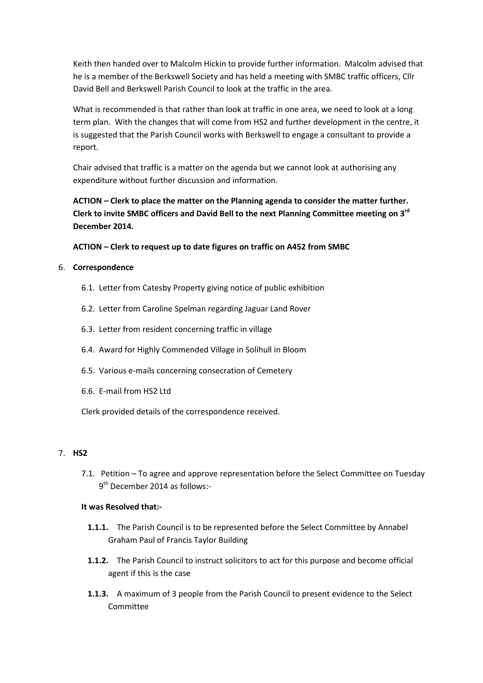Keith then handed over to Malcolm Hickin to provide further information. Malcolm advised that he is a member of the Berkswell Society and has held a meeting with SMBC traffic officers, Cllr David Bell and Berkswell Parish Council to look at the traffic in the area.

What is recommended is that rather than look at traffic in one area, we need to look at a long term plan. With the changes that will come from HS2 and further development in the centre, it is suggested that the Parish Council works with Berkswell to engage a consultant to provide a report.

Chair advised that traffic is a matter on the agenda but we cannot look at authorising any expenditure without further discussion and information.

ACTION – Clerk to place the matter on the Planning agenda to consider the matter further. Clerk to invite SMBC officers and David Bell to the next Planning Committee meeting on 3<sup>rd</sup> December 2014.

ACTION – Clerk to request up to date figures on traffic on A452 from SMBC

#### 6. Correspondence

- 6.1. Letter from Catesby Property giving notice of public exhibition
- 6.2. Letter from Caroline Spelman regarding Jaguar Land Rover
- 6.3. Letter from resident concerning traffic in village
- 6.4. Award for Highly Commended Village in Solihull in Bloom
- 6.5. Various e-mails concerning consecration of Cemetery
- 6.6. E-mail from HS2 Ltd

Clerk provided details of the correspondence received.

#### 7. HS2

7.1. Petition – To agree and approve representation before the Select Committee on Tuesday 9<sup>th</sup> December 2014 as follows:-

# It was Resolved that:-

- 1.1.1. The Parish Council is to be represented before the Select Committee by Annabel Graham Paul of Francis Taylor Building
- 1.1.2. The Parish Council to instruct solicitors to act for this purpose and become official agent if this is the case
- 1.1.3. A maximum of 3 people from the Parish Council to present evidence to the Select Committee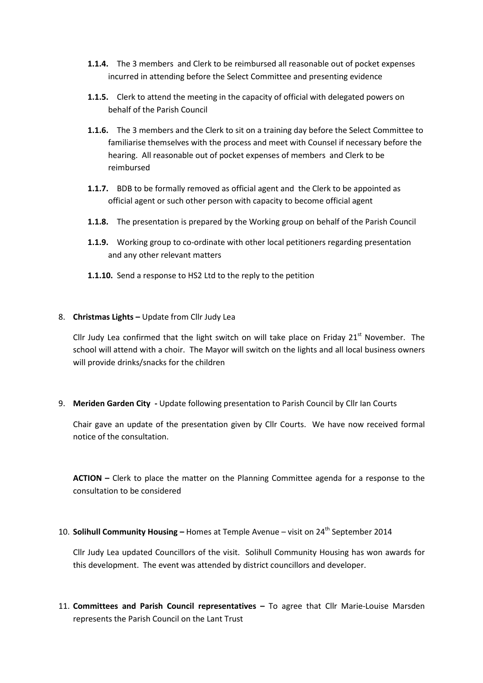- 1.1.4. The 3 members and Clerk to be reimbursed all reasonable out of pocket expenses incurred in attending before the Select Committee and presenting evidence
- 1.1.5. Clerk to attend the meeting in the capacity of official with delegated powers on behalf of the Parish Council
- 1.1.6. The 3 members and the Clerk to sit on a training day before the Select Committee to familiarise themselves with the process and meet with Counsel if necessary before the hearing. All reasonable out of pocket expenses of members and Clerk to be reimbursed
- 1.1.7. BDB to be formally removed as official agent and the Clerk to be appointed as official agent or such other person with capacity to become official agent
- 1.1.8. The presentation is prepared by the Working group on behalf of the Parish Council
- **1.1.9.** Working group to co-ordinate with other local petitioners regarding presentation and any other relevant matters
- 1.1.10. Send a response to HS2 Ltd to the reply to the petition

#### 8. Christmas Lights - Update from Cllr Judy Lea

Cllr Judy Lea confirmed that the light switch on will take place on Friday  $21^{st}$  November. The school will attend with a choir. The Mayor will switch on the lights and all local business owners will provide drinks/snacks for the children

9. Meriden Garden City - Update following presentation to Parish Council by Cllr Ian Courts

Chair gave an update of the presentation given by Cllr Courts. We have now received formal notice of the consultation.

ACTION – Clerk to place the matter on the Planning Committee agenda for a response to the consultation to be considered

10. Solihull Community Housing – Homes at Temple Avenue – visit on  $24<sup>th</sup>$  September 2014

Cllr Judy Lea updated Councillors of the visit. Solihull Community Housing has won awards for this development. The event was attended by district councillors and developer.

11. Committees and Parish Council representatives – To agree that Cllr Marie-Louise Marsden represents the Parish Council on the Lant Trust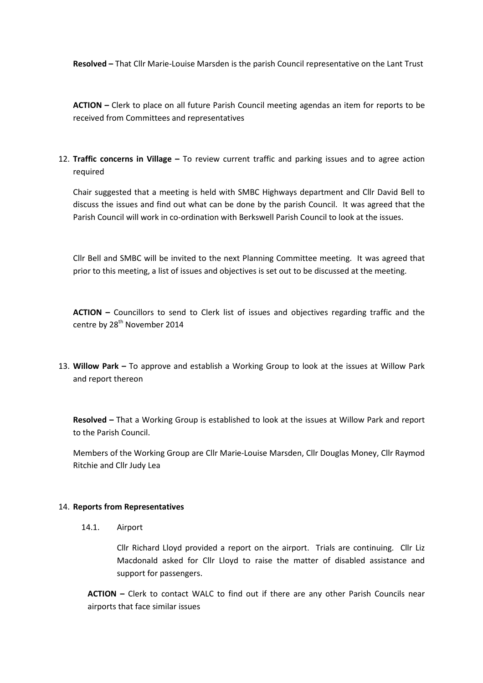Resolved – That Cllr Marie-Louise Marsden is the parish Council representative on the Lant Trust

ACTION – Clerk to place on all future Parish Council meeting agendas an item for reports to be received from Committees and representatives

12. Traffic concerns in Village  $-$  To review current traffic and parking issues and to agree action required

Chair suggested that a meeting is held with SMBC Highways department and Cllr David Bell to discuss the issues and find out what can be done by the parish Council. It was agreed that the Parish Council will work in co-ordination with Berkswell Parish Council to look at the issues.

Cllr Bell and SMBC will be invited to the next Planning Committee meeting. It was agreed that prior to this meeting, a list of issues and objectives is set out to be discussed at the meeting.

ACTION - Councillors to send to Clerk list of issues and objectives regarding traffic and the centre by 28<sup>th</sup> November 2014

13. Willow Park – To approve and establish a Working Group to look at the issues at Willow Park and report thereon

Resolved – That a Working Group is established to look at the issues at Willow Park and report to the Parish Council.

Members of the Working Group are Cllr Marie-Louise Marsden, Cllr Douglas Money, Cllr Raymod Ritchie and Cllr Judy Lea

#### 14. Reports from Representatives

14.1. Airport

Cllr Richard Lloyd provided a report on the airport. Trials are continuing. Cllr Liz Macdonald asked for Cllr Lloyd to raise the matter of disabled assistance and support for passengers.

ACTION – Clerk to contact WALC to find out if there are any other Parish Councils near airports that face similar issues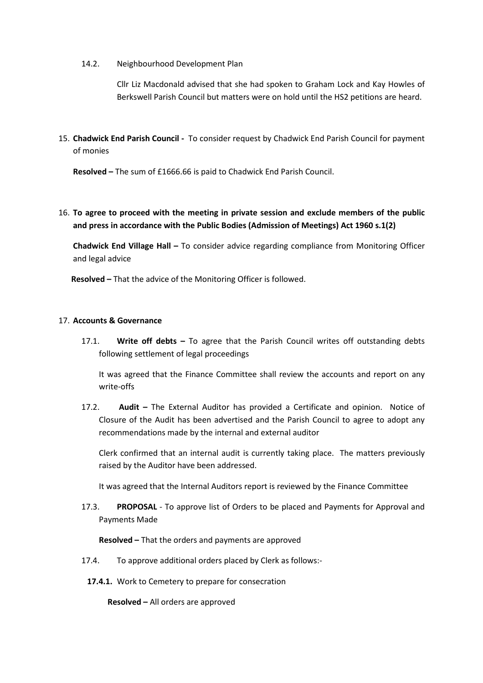14.2. Neighbourhood Development Plan

Cllr Liz Macdonald advised that she had spoken to Graham Lock and Kay Howles of Berkswell Parish Council but matters were on hold until the HS2 petitions are heard.

15. Chadwick End Parish Council - To consider request by Chadwick End Parish Council for payment of monies

Resolved – The sum of £1666.66 is paid to Chadwick End Parish Council.

## 16. To agree to proceed with the meeting in private session and exclude members of the public and press in accordance with the Public Bodies (Admission of Meetings) Act 1960 s.1(2)

Chadwick End Village Hall – To consider advice regarding compliance from Monitoring Officer and legal advice

Resolved – That the advice of the Monitoring Officer is followed.

#### 17. Accounts & Governance

17.1. Write off debts  $-$  To agree that the Parish Council writes off outstanding debts following settlement of legal proceedings

It was agreed that the Finance Committee shall review the accounts and report on any write-offs

17.2. Audit – The External Auditor has provided a Certificate and opinion. Notice of Closure of the Audit has been advertised and the Parish Council to agree to adopt any recommendations made by the internal and external auditor

Clerk confirmed that an internal audit is currently taking place. The matters previously raised by the Auditor have been addressed.

It was agreed that the Internal Auditors report is reviewed by the Finance Committee

17.3. PROPOSAL - To approve list of Orders to be placed and Payments for Approval and Payments Made

Resolved – That the orders and payments are approved

- 17.4. To approve additional orders placed by Clerk as follows:-
- 17.4.1. Work to Cemetery to prepare for consecration

Resolved – All orders are approved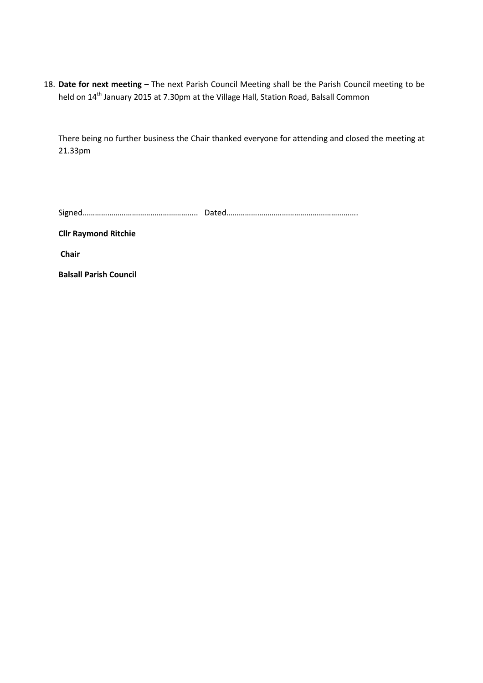18. Date for next meeting – The next Parish Council Meeting shall be the Parish Council meeting to be held on 14<sup>th</sup> January 2015 at 7.30pm at the Village Hall, Station Road, Balsall Common

There being no further business the Chair thanked everyone for attending and closed the meeting at 21.33pm

| $\overline{\phantom{0}}$ |  |
|--------------------------|--|
|--------------------------|--|

Cllr Raymond Ritchie

Chair

Balsall Parish Council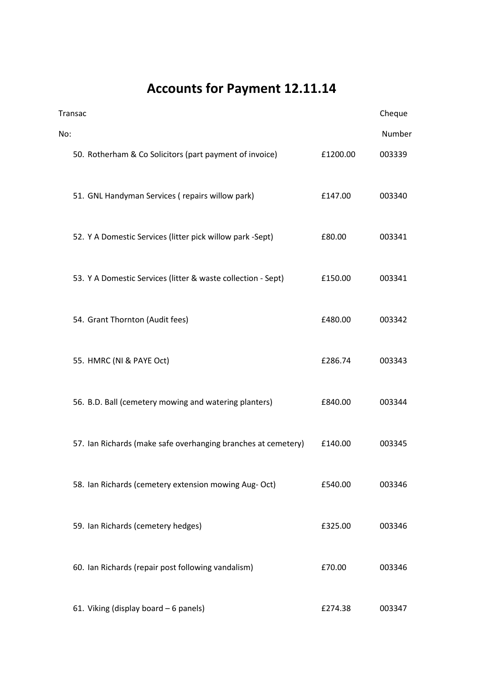# Accounts for Payment 12.11.14

| Transac |                                                               |          | Cheque |
|---------|---------------------------------------------------------------|----------|--------|
| No:     |                                                               |          | Number |
|         | 50. Rotherham & Co Solicitors (part payment of invoice)       | £1200.00 | 003339 |
|         | 51. GNL Handyman Services (repairs willow park)               | £147.00  | 003340 |
|         | 52. Y A Domestic Services (litter pick willow park -Sept)     | £80.00   | 003341 |
|         | 53. Y A Domestic Services (litter & waste collection - Sept)  | £150.00  | 003341 |
|         | 54. Grant Thornton (Audit fees)                               | £480.00  | 003342 |
|         | 55. HMRC (NI & PAYE Oct)                                      | £286.74  | 003343 |
|         | 56. B.D. Ball (cemetery mowing and watering planters)         | £840.00  | 003344 |
|         | 57. Ian Richards (make safe overhanging branches at cemetery) | £140.00  | 003345 |
|         | 58. Ian Richards (cemetery extension mowing Aug- Oct)         | £540.00  | 003346 |
|         | 59. Ian Richards (cemetery hedges)                            | £325.00  | 003346 |
|         | 60. Ian Richards (repair post following vandalism)            | £70.00   | 003346 |
|         | 61. Viking (display board - 6 panels)                         | £274.38  | 003347 |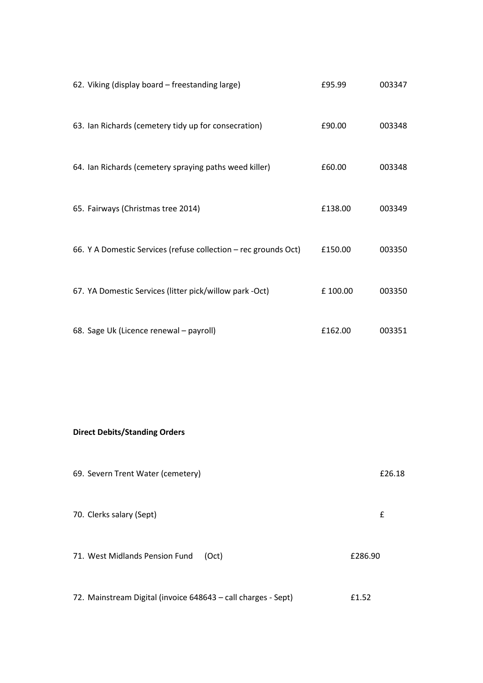| 62. Viking (display board - freestanding large)                 | £95.99  | 003347 |
|-----------------------------------------------------------------|---------|--------|
| 63. Ian Richards (cemetery tidy up for consecration)            | £90.00  | 003348 |
| 64. Ian Richards (cemetery spraying paths weed killer)          | £60.00  | 003348 |
| 65. Fairways (Christmas tree 2014)                              | £138.00 | 003349 |
| 66. Y A Domestic Services (refuse collection - rec grounds Oct) | £150.00 | 003350 |
| 67. YA Domestic Services (litter pick/willow park -Oct)         | £100.00 | 003350 |
| 68. Sage Uk (Licence renewal - payroll)                         | £162.00 | 003351 |

# Direct Debits/Standing Orders

| 69. Severn Trent Water (cemetery)                                      | £26.18 |
|------------------------------------------------------------------------|--------|
| 70. Clerks salary (Sept)                                               | £      |
| 71. West Midlands Pension Fund<br>£286.90<br>(Oct)                     |        |
| 72. Mainstream Digital (invoice 648643 – call charges - Sept)<br>£1.52 |        |